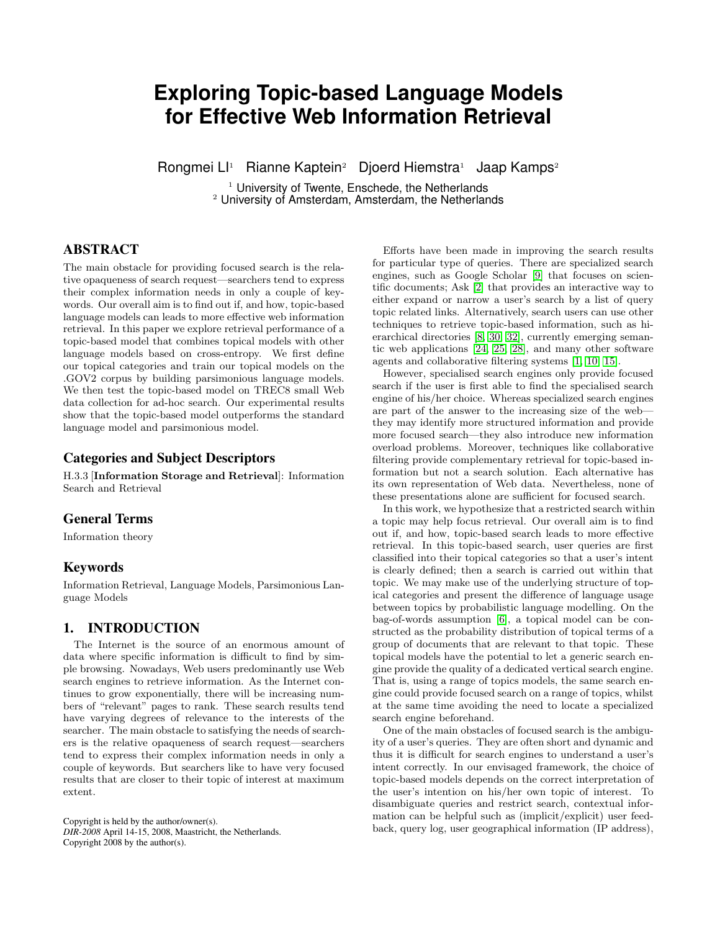# **Exploring Topic-based Language Models for Effective Web Information Retrieval**

Rongmei Ll<sup>1</sup> Rianne Kaptein<sup>2</sup> Djoerd Hiemstra<sup>1</sup> Jaap Kamps<sup>2</sup>

 $1$  University of Twente, Enschede, the Netherlands <sup>2</sup> University of Amsterdam, Amsterdam, the Netherlands

# ABSTRACT

The main obstacle for providing focused search is the relative opaqueness of search request—searchers tend to express their complex information needs in only a couple of keywords. Our overall aim is to find out if, and how, topic-based language models can leads to more effective web information retrieval. In this paper we explore retrieval performance of a topic-based model that combines topical models with other language models based on cross-entropy. We first define our topical categories and train our topical models on the .GOV2 corpus by building parsimonious language models. We then test the topic-based model on TREC8 small Web data collection for ad-hoc search. Our experimental results show that the topic-based model outperforms the standard language model and parsimonious model.

## Categories and Subject Descriptors

H.3.3 [Information Storage and Retrieval]: Information Search and Retrieval

# General Terms

Information theory

## Keywords

Information Retrieval, Language Models, Parsimonious Language Models

## 1. INTRODUCTION

The Internet is the source of an enormous amount of data where specific information is difficult to find by simple browsing. Nowadays, Web users predominantly use Web search engines to retrieve information. As the Internet continues to grow exponentially, there will be increasing numbers of "relevant" pages to rank. These search results tend have varying degrees of relevance to the interests of the searcher. The main obstacle to satisfying the needs of searchers is the relative opaqueness of search request—searchers tend to express their complex information needs in only a couple of keywords. But searchers like to have very focused results that are closer to their topic of interest at maximum extent.

Copyright is held by the author/owner(s). *DIR-2008* April 14-15, 2008, Maastricht, the Netherlands. Copyright 2008 by the author(s).

Efforts have been made in improving the search results for particular type of queries. There are specialized search engines, such as Google Scholar [\[9\]](#page-5-0) that focuses on scientific documents; Ask [\[2\]](#page-5-1) that provides an interactive way to either expand or narrow a user's search by a list of query topic related links. Alternatively, search users can use other techniques to retrieve topic-based information, such as hierarchical directories [\[8,](#page-5-2) [30,](#page-6-0) [32\]](#page-6-1), currently emerging semantic web applications [\[24,](#page-6-2) [25,](#page-6-3) [28\]](#page-6-4), and many other software agents and collaborative filtering systems [\[1,](#page-5-3) [10,](#page-5-4) [15\]](#page-6-5).

However, specialised search engines only provide focused search if the user is first able to find the specialised search engine of his/her choice. Whereas specialized search engines are part of the answer to the increasing size of the web they may identify more structured information and provide more focused search—they also introduce new information overload problems. Moreover, techniques like collaborative filtering provide complementary retrieval for topic-based information but not a search solution. Each alternative has its own representation of Web data. Nevertheless, none of these presentations alone are sufficient for focused search.

In this work, we hypothesize that a restricted search within a topic may help focus retrieval. Our overall aim is to find out if, and how, topic-based search leads to more effective retrieval. In this topic-based search, user queries are first classified into their topical categories so that a user's intent is clearly defined; then a search is carried out within that topic. We may make use of the underlying structure of topical categories and present the difference of language usage between topics by probabilistic language modelling. On the bag-of-words assumption [\[6\]](#page-5-5), a topical model can be constructed as the probability distribution of topical terms of a group of documents that are relevant to that topic. These topical models have the potential to let a generic search engine provide the quality of a dedicated vertical search engine. That is, using a range of topics models, the same search engine could provide focused search on a range of topics, whilst at the same time avoiding the need to locate a specialized search engine beforehand.

One of the main obstacles of focused search is the ambiguity of a user's queries. They are often short and dynamic and thus it is difficult for search engines to understand a user's intent correctly. In our envisaged framework, the choice of topic-based models depends on the correct interpretation of the user's intention on his/her own topic of interest. To disambiguate queries and restrict search, contextual information can be helpful such as (implicit/explicit) user feedback, query log, user geographical information (IP address),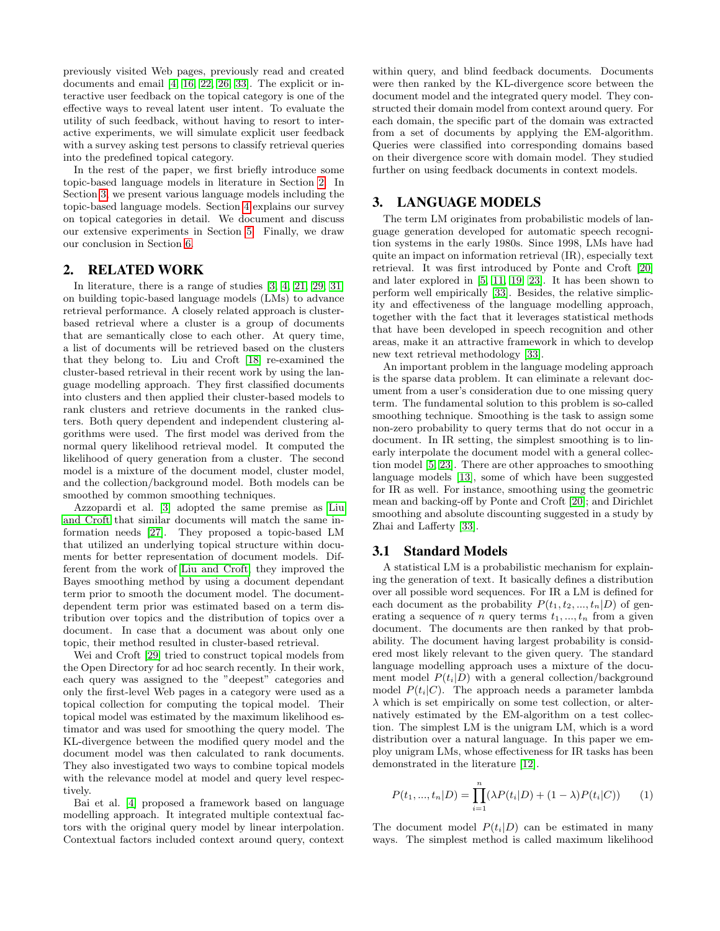previously visited Web pages, previously read and created documents and email [\[4,](#page-5-6) [16,](#page-6-6) [22,](#page-6-7) [26,](#page-6-8) [33\]](#page-6-9). The explicit or interactive user feedback on the topical category is one of the effective ways to reveal latent user intent. To evaluate the utility of such feedback, without having to resort to interactive experiments, we will simulate explicit user feedback with a survey asking test persons to classify retrieval queries into the predefined topical category.

In the rest of the paper, we first briefly introduce some topic-based language models in literature in Section [2.](#page-1-0) In Section [3,](#page-1-1) we present various language models including the topic-based language models. Section [4](#page-2-0) explains our survey on topical categories in detail. We document and discuss our extensive experiments in Section [5.](#page-3-0) Finally, we draw our conclusion in Section [6.](#page-5-7)

## <span id="page-1-0"></span>2. RELATED WORK

In literature, there is a range of studies [\[3,](#page-5-8) [4,](#page-5-6) [21,](#page-6-10) [29,](#page-6-11) [31\]](#page-6-12) on building topic-based language models (LMs) to advance retrieval performance. A closely related approach is clusterbased retrieval where a cluster is a group of documents that are semantically close to each other. At query time, a list of documents will be retrieved based on the clusters that they belong to. Liu and Croft [\[18\]](#page-6-13) re-examined the cluster-based retrieval in their recent work by using the language modelling approach. They first classified documents into clusters and then applied their cluster-based models to rank clusters and retrieve documents in the ranked clusters. Both query dependent and independent clustering algorithms were used. The first model was derived from the normal query likelihood retrieval model. It computed the likelihood of query generation from a cluster. The second model is a mixture of the document model, cluster model, and the collection/background model. Both models can be smoothed by common smoothing techniques.

Azzopardi et al. [\[3\]](#page-5-8) adopted the same premise as [Liu](#page-6-13) [and Croft](#page-6-13) that similar documents will match the same information needs [\[27\]](#page-6-14). They proposed a topic-based LM that utilized an underlying topical structure within documents for better representation of document models. Different from the work of [Liu and Croft,](#page-6-13) they improved the Bayes smoothing method by using a document dependant term prior to smooth the document model. The documentdependent term prior was estimated based on a term distribution over topics and the distribution of topics over a document. In case that a document was about only one topic, their method resulted in cluster-based retrieval.

Wei and Croft [\[29\]](#page-6-11) tried to construct topical models from the Open Directory for ad hoc search recently. In their work, each query was assigned to the "deepest" categories and only the first-level Web pages in a category were used as a topical collection for computing the topical model. Their topical model was estimated by the maximum likelihood estimator and was used for smoothing the query model. The KL-divergence between the modified query model and the document model was then calculated to rank documents. They also investigated two ways to combine topical models with the relevance model at model and query level respectively.

Bai et al. [\[4\]](#page-5-6) proposed a framework based on language modelling approach. It integrated multiple contextual factors with the original query model by linear interpolation. Contextual factors included context around query, context within query, and blind feedback documents. Documents were then ranked by the KL-divergence score between the document model and the integrated query model. They constructed their domain model from context around query. For each domain, the specific part of the domain was extracted from a set of documents by applying the EM-algorithm. Queries were classified into corresponding domains based on their divergence score with domain model. They studied further on using feedback documents in context models.

## <span id="page-1-1"></span>3. LANGUAGE MODELS

The term LM originates from probabilistic models of language generation developed for automatic speech recognition systems in the early 1980s. Since 1998, LMs have had quite an impact on information retrieval (IR), especially text retrieval. It was first introduced by Ponte and Croft [\[20\]](#page-6-15) and later explored in [\[5,](#page-5-9) [11,](#page-5-10) [19,](#page-6-16) [23\]](#page-6-17). It has been shown to perform well empirically [\[33\]](#page-6-9). Besides, the relative simplicity and effectiveness of the language modelling approach, together with the fact that it leverages statistical methods that have been developed in speech recognition and other areas, make it an attractive framework in which to develop new text retrieval methodology [\[33\]](#page-6-9).

An important problem in the language modeling approach is the sparse data problem. It can eliminate a relevant document from a user's consideration due to one missing query term. The fundamental solution to this problem is so-called smoothing technique. Smoothing is the task to assign some non-zero probability to query terms that do not occur in a document. In IR setting, the simplest smoothing is to linearly interpolate the document model with a general collection model [\[5,](#page-5-9) [23\]](#page-6-17). There are other approaches to smoothing language models [\[13\]](#page-5-11), some of which have been suggested for IR as well. For instance, smoothing using the geometric mean and backing-off by Ponte and Croft [\[20\]](#page-6-15); and Dirichlet smoothing and absolute discounting suggested in a study by Zhai and Lafferty [\[33\]](#page-6-9).

## 3.1 Standard Models

A statistical LM is a probabilistic mechanism for explaining the generation of text. It basically defines a distribution over all possible word sequences. For IR a LM is defined for each document as the probability  $P(t_1, t_2, ..., t_n|D)$  of generating a sequence of n query terms  $t_1, ..., t_n$  from a given document. The documents are then ranked by that probability. The document having largest probability is considered most likely relevant to the given query. The standard language modelling approach uses a mixture of the document model  $P(t_i|D)$  with a general collection/background model  $P(t_i|C)$ . The approach needs a parameter lambda  $\lambda$  which is set empirically on some test collection, or alternatively estimated by the EM-algorithm on a test collection. The simplest LM is the unigram LM, which is a word distribution over a natural language. In this paper we employ unigram LMs, whose effectiveness for IR tasks has been demonstrated in the literature [\[12\]](#page-5-12).

$$
P(t_1, ..., t_n | D) = \prod_{i=1}^n (\lambda P(t_i | D) + (1 - \lambda) P(t_i | C)) \qquad (1)
$$

The document model  $P(t_i|D)$  can be estimated in many ways. The simplest method is called maximum likelihood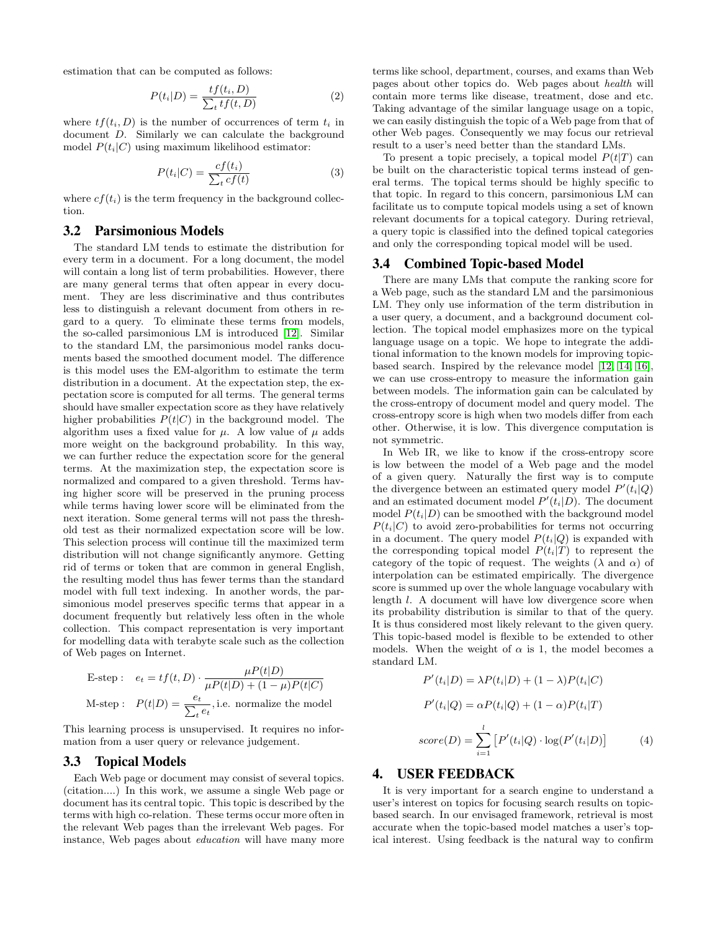estimation that can be computed as follows:

$$
P(t_i|D) = \frac{tf(t_i, D)}{\sum_t tf(t, D)}
$$
\n<sup>(2)</sup>

where  $tf(t_i, D)$  is the number of occurrences of term  $t_i$  in document D. Similarly we can calculate the background model  $P(t_i|C)$  using maximum likelihood estimator:

$$
P(t_i|C) = \frac{cf(t_i)}{\sum_t cf(t)}
$$
\n(3)

where  $cf(t_i)$  is the term frequency in the background collection.

#### 3.2 Parsimonious Models

The standard LM tends to estimate the distribution for every term in a document. For a long document, the model will contain a long list of term probabilities. However, there are many general terms that often appear in every document. They are less discriminative and thus contributes less to distinguish a relevant document from others in regard to a query. To eliminate these terms from models, the so-called parsimonious LM is introduced [\[12\]](#page-5-12). Similar to the standard LM, the parsimonious model ranks documents based the smoothed document model. The difference is this model uses the EM-algorithm to estimate the term distribution in a document. At the expectation step, the expectation score is computed for all terms. The general terms should have smaller expectation score as they have relatively higher probabilities  $P(t|C)$  in the background model. The algorithm uses a fixed value for  $\mu$ . A low value of  $\mu$  adds more weight on the background probability. In this way, we can further reduce the expectation score for the general terms. At the maximization step, the expectation score is normalized and compared to a given threshold. Terms having higher score will be preserved in the pruning process while terms having lower score will be eliminated from the next iteration. Some general terms will not pass the threshold test as their normalized expectation score will be low. This selection process will continue till the maximized term distribution will not change significantly anymore. Getting rid of terms or token that are common in general English, the resulting model thus has fewer terms than the standard model with full text indexing. In another words, the parsimonious model preserves specific terms that appear in a document frequently but relatively less often in the whole collection. This compact representation is very important for modelling data with terabyte scale such as the collection of Web pages on Internet.

E-step: 
$$
e_t = tf(t, D) \cdot \frac{\mu P(t|D)}{\mu P(t|D) + (1 - \mu)P(t|C)}
$$
  
M-step:  $P(t|D) = \frac{e_t}{\sum_t e_t}$ , i.e. normalize the model

This learning process is unsupervised. It requires no information from a user query or relevance judgement.

## 3.3 Topical Models

Each Web page or document may consist of several topics. (citation....) In this work, we assume a single Web page or document has its central topic. This topic is described by the terms with high co-relation. These terms occur more often in the relevant Web pages than the irrelevant Web pages. For instance, Web pages about education will have many more

terms like school, department, courses, and exams than Web pages about other topics do. Web pages about health will contain more terms like disease, treatment, dose and etc. Taking advantage of the similar language usage on a topic, we can easily distinguish the topic of a Web page from that of other Web pages. Consequently we may focus our retrieval result to a user's need better than the standard LMs.

To present a topic precisely, a topical model  $P(t|T)$  can be built on the characteristic topical terms instead of general terms. The topical terms should be highly specific to that topic. In regard to this concern, parsimonious LM can facilitate us to compute topical models using a set of known relevant documents for a topical category. During retrieval, a query topic is classified into the defined topical categories and only the corresponding topical model will be used.

#### 3.4 Combined Topic-based Model

There are many LMs that compute the ranking score for a Web page, such as the standard LM and the parsimonious LM. They only use information of the term distribution in a user query, a document, and a background document collection. The topical model emphasizes more on the typical language usage on a topic. We hope to integrate the additional information to the known models for improving topicbased search. Inspired by the relevance model [\[12,](#page-5-12) [14,](#page-5-13) [16\]](#page-6-6), we can use cross-entropy to measure the information gain between models. The information gain can be calculated by the cross-entropy of document model and query model. The cross-entropy score is high when two models differ from each other. Otherwise, it is low. This divergence computation is not symmetric.

In Web IR, we like to know if the cross-entropy score is low between the model of a Web page and the model of a given query. Naturally the first way is to compute the divergence between an estimated query model  $P'(t_i|Q)$ and an estimated document model  $P'(t_i|D)$ . The document model  $P(t_i|D)$  can be smoothed with the background model  $P(t_i|C)$  to avoid zero-probabilities for terms not occurring in a document. The query model  $P(t_i|Q)$  is expanded with the corresponding topical model  $P(t_i|T)$  to represent the category of the topic of request. The weights ( $\lambda$  and  $\alpha$ ) of interpolation can be estimated empirically. The divergence score is summed up over the whole language vocabulary with length l. A document will have low divergence score when its probability distribution is similar to that of the query. It is thus considered most likely relevant to the given query. This topic-based model is flexible to be extended to other models. When the weight of  $\alpha$  is 1, the model becomes a standard LM.

$$
P'(t_i|D) = \lambda P(t_i|D) + (1 - \lambda)P(t_i|C)
$$
  
\n
$$
P'(t_i|Q) = \alpha P(t_i|Q) + (1 - \alpha)P(t_i|T)
$$
  
\n
$$
score(D) = \sum_{i=1}^{l} [P'(t_i|Q) \cdot log(P'(t_i|D))]
$$
 (4)

#### <span id="page-2-0"></span>4. USER FEEDBACK

It is very important for a search engine to understand a user's interest on topics for focusing search results on topicbased search. In our envisaged framework, retrieval is most accurate when the topic-based model matches a user's topical interest. Using feedback is the natural way to confirm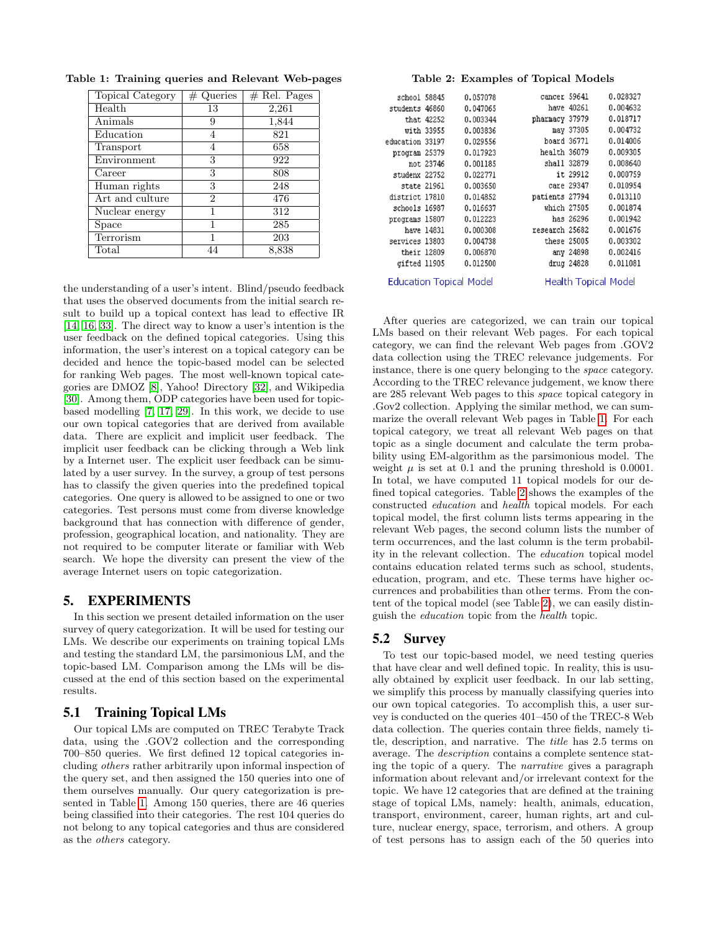<span id="page-3-1"></span>

| Topical Category | $#$ Queries    | $#$ Rel. Pages |
|------------------|----------------|----------------|
| Health           | 13             | 2,261          |
| Animals          | 9              | 1,844          |
| Education        | 4              | 821            |
| Transport        | 4              | 658            |
| Environment      | 3              | 922            |
| $\Gamma$ Career  | 3              | 808            |
| Human rights     | 3              | 248            |
| Art and culture  | $\overline{2}$ | 476            |
| Nuclear energy   |                | 312            |
| Space            |                | 285            |
| Terrorism        |                | 203            |
| Total            | 44             | 8,838          |

Table 1: Training queries and Relevant Web-pages

the understanding of a user's intent. Blind/pseudo feedback that uses the observed documents from the initial search result to build up a topical context has lead to effective IR [\[14,](#page-5-13) [16,](#page-6-6) [33\]](#page-6-9). The direct way to know a user's intention is the user feedback on the defined topical categories. Using this information, the user's interest on a topical category can be decided and hence the topic-based model can be selected for ranking Web pages. The most well-known topical categories are DMOZ [\[8\]](#page-5-2), Yahoo! Directory [\[32\]](#page-6-1), and Wikipedia [\[30\]](#page-6-0). Among them, ODP categories have been used for topicbased modelling [\[7,](#page-5-14) [17,](#page-6-18) [29\]](#page-6-11). In this work, we decide to use our own topical categories that are derived from available data. There are explicit and implicit user feedback. The implicit user feedback can be clicking through a Web link by a Internet user. The explicit user feedback can be simulated by a user survey. In the survey, a group of test persons has to classify the given queries into the predefined topical categories. One query is allowed to be assigned to one or two categories. Test persons must come from diverse knowledge background that has connection with difference of gender, profession, geographical location, and nationality. They are not required to be computer literate or familiar with Web search. We hope the diversity can present the view of the average Internet users on topic categorization.

## <span id="page-3-0"></span>5. EXPERIMENTS

In this section we present detailed information on the user survey of query categorization. It will be used for testing our LMs. We describe our experiments on training topical LMs and testing the standard LM, the parsimonious LM, and the topic-based LM. Comparison among the LMs will be discussed at the end of this section based on the experimental results.

#### 5.1 Training Topical LMs

Our topical LMs are computed on TREC Terabyte Track data, using the .GOV2 collection and the corresponding 700–850 queries. We first defined 12 topical categories including others rather arbitrarily upon informal inspection of the query set, and then assigned the 150 queries into one of them ourselves manually. Our query categorization is presented in Table [1.](#page-3-1) Among 150 queries, there are 46 queries being classified into their categories. The rest 104 queries do not belong to any topical categories and thus are considered as the others category.

#### <span id="page-3-2"></span>Table 2: Examples of Topical Models

| school 58845    |                                | 0.057078 | cancer 59641   |                             | 0.028327 |
|-----------------|--------------------------------|----------|----------------|-----------------------------|----------|
| students 46860  |                                | 0.047065 |                | have 40261                  | 0.004632 |
|                 | that 42252                     | 0.003344 | pharmacy 37979 |                             | 0.018717 |
|                 | with 33955                     | 0.003836 |                | may 37305                   | 0.004732 |
| education 33197 |                                | 0.029556 | board 36771    |                             | 0.014006 |
| program 25379   |                                | 0.017923 | health 36079   |                             | 0.009305 |
|                 | not 23746                      | 0.001185 | shall 32879    |                             | 0.008640 |
| studenx 22752   |                                | 0.022771 |                | it 29912                    | 0.000759 |
| state 21961     |                                | 0.003650 |                | care 29347                  | 0.010954 |
| district 17810  |                                | 0.014852 | patients 27794 |                             | 0.013110 |
| schools 16987   |                                | 0.016637 | which 27505    |                             | 0.001874 |
| programs 15807  |                                | 0.012223 |                | has 26296                   | 0.001942 |
|                 | have 14831                     | 0.000308 | research 25682 |                             | 0.001676 |
| services 13803  |                                | 0.004738 | these 25005    |                             | 0.003302 |
| their 12809     |                                | 0.006870 |                | any 24898                   | 0.002416 |
| gifted 11905    |                                | 0.012500 |                | drug 24828                  | 0.011081 |
|                 | <b>Education Topical Model</b> |          |                | <b>Health Topical Model</b> |          |

After queries are categorized, we can train our topical LMs based on their relevant Web pages. For each topical category, we can find the relevant Web pages from .GOV2 data collection using the TREC relevance judgements. For instance, there is one query belonging to the space category. According to the TREC relevance judgement, we know there are 285 relevant Web pages to this space topical category in .Gov2 collection. Applying the similar method, we can summarize the overall relevant Web pages in Table [1.](#page-3-1) For each topical category, we treat all relevant Web pages on that topic as a single document and calculate the term probability using EM-algorithm as the parsimonious model. The weight  $\mu$  is set at 0.1 and the pruning threshold is 0.0001. In total, we have computed 11 topical models for our defined topical categories. Table [2](#page-3-2) shows the examples of the constructed education and health topical models. For each topical model, the first column lists terms appearing in the relevant Web pages, the second column lists the number of term occurrences, and the last column is the term probability in the relevant collection. The education topical model contains education related terms such as school, students, education, program, and etc. These terms have higher occurrences and probabilities than other terms. From the content of the topical model (see Table [2\)](#page-3-2), we can easily distinguish the education topic from the health topic.

#### 5.2 Survey

To test our topic-based model, we need testing queries that have clear and well defined topic. In reality, this is usually obtained by explicit user feedback. In our lab setting, we simplify this process by manually classifying queries into our own topical categories. To accomplish this, a user survey is conducted on the queries 401–450 of the TREC-8 Web data collection. The queries contain three fields, namely title, description, and narrative. The title has 2.5 terms on average. The description contains a complete sentence stating the topic of a query. The narrative gives a paragraph information about relevant and/or irrelevant context for the topic. We have 12 categories that are defined at the training stage of topical LMs, namely: health, animals, education, transport, environment, career, human rights, art and culture, nuclear energy, space, terrorism, and others. A group of test persons has to assign each of the 50 queries into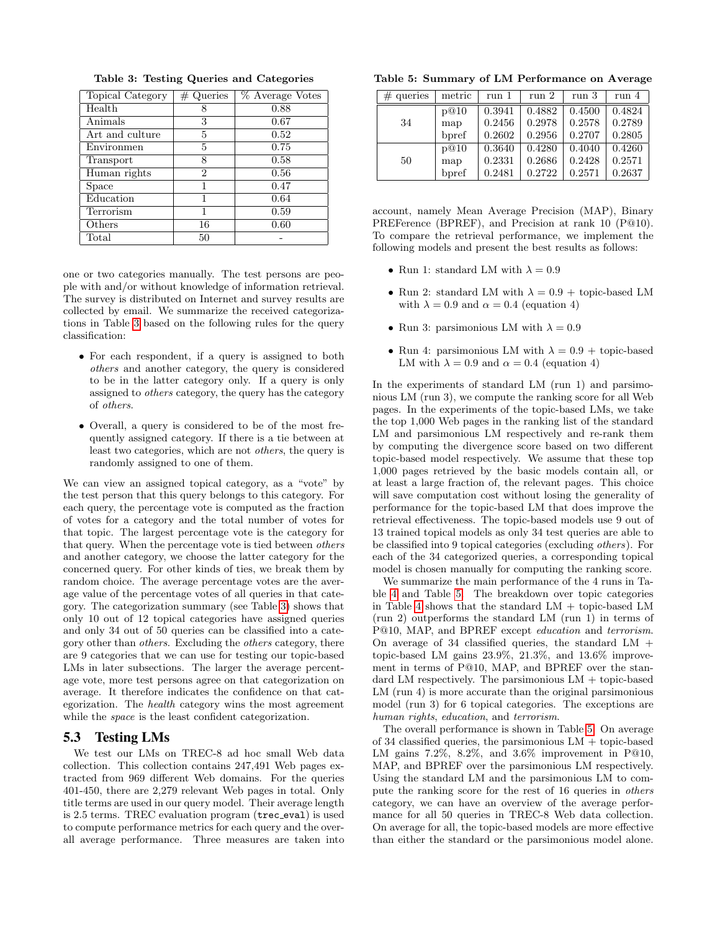| Topical Category | $\#$ Queries | % Average Votes |
|------------------|--------------|-----------------|
| Health           |              | 0.88            |
| Animals          | 3            | 0.67            |
| Art and culture  | 5            | 0.52            |
| Environmen       | 5            | 0.75            |
| Transport        | 8            | 0.58            |
| Human rights     | 2            | 0.56            |
| Space            | 1            | 0.47            |
| Education        | 1            | 0.64            |
| Terrorism        |              | 0.59            |
| Others           | 16           | 0.60            |
| $_{\rm Total}$   | 50           |                 |

<span id="page-4-0"></span>Table 3: Testing Queries and Categories

one or two categories manually. The test persons are people with and/or without knowledge of information retrieval. The survey is distributed on Internet and survey results are collected by email. We summarize the received categorizations in Table [3](#page-4-0) based on the following rules for the query classification:

- For each respondent, if a query is assigned to both others and another category, the query is considered to be in the latter category only. If a query is only assigned to others category, the query has the category of others.
- Overall, a query is considered to be of the most frequently assigned category. If there is a tie between at least two categories, which are not others, the query is randomly assigned to one of them.

We can view an assigned topical category, as a "vote" by the test person that this query belongs to this category. For each query, the percentage vote is computed as the fraction of votes for a category and the total number of votes for that topic. The largest percentage vote is the category for that query. When the percentage vote is tied between others and another category, we choose the latter category for the concerned query. For other kinds of ties, we break them by random choice. The average percentage votes are the average value of the percentage votes of all queries in that category. The categorization summary (see Table [3\)](#page-4-0) shows that only 10 out of 12 topical categories have assigned queries and only 34 out of 50 queries can be classified into a category other than others. Excluding the others category, there are 9 categories that we can use for testing our topic-based LMs in later subsections. The larger the average percentage vote, more test persons agree on that categorization on average. It therefore indicates the confidence on that categorization. The health category wins the most agreement while the *space* is the least confident categorization.

#### 5.3 Testing LMs

We test our LMs on TREC-8 ad hoc small Web data collection. This collection contains 247,491 Web pages extracted from 969 different Web domains. For the queries 401-450, there are 2,279 relevant Web pages in total. Only title terms are used in our query model. Their average length is 2.5 terms. TREC evaluation program (trec eval) is used to compute performance metrics for each query and the overall average performance. Three measures are taken into

<span id="page-4-1"></span>Table 5: Summary of LM Performance on Average

| $#$ queries | metric | run 1  | run 2  | run 3  | run 4  |
|-------------|--------|--------|--------|--------|--------|
|             | p@10   | 0.3941 | 0.4882 | 0.4500 | 0.4824 |
| 34          | map    | 0.2456 | 0.2978 | 0.2578 | 0.2789 |
|             | bpref  | 0.2602 | 0.2956 | 0.2707 | 0.2805 |
|             | p@10   | 0.3640 | 0.4280 | 0.4040 | 0.4260 |
| 50          | map    | 0.2331 | 0.2686 | 0.2428 | 0.2571 |
|             | bpref  | 0.2481 | 0.2722 | 0.2571 | 0.2637 |

account, namely Mean Average Precision (MAP), Binary PREFerence (BPREF), and Precision at rank 10 (P@10). To compare the retrieval performance, we implement the following models and present the best results as follows:

- Run 1: standard LM with  $\lambda = 0.9$
- Run 2: standard LM with  $\lambda = 0.9 +$  topic-based LM with  $\lambda = 0.9$  and  $\alpha = 0.4$  (equation 4)
- Run 3: parsimonious LM with  $\lambda = 0.9$
- Run 4: parsimonious LM with  $\lambda = 0.9 +$  topic-based LM with  $\lambda = 0.9$  and  $\alpha = 0.4$  (equation 4)

In the experiments of standard LM (run 1) and parsimonious LM (run 3), we compute the ranking score for all Web pages. In the experiments of the topic-based LMs, we take the top 1,000 Web pages in the ranking list of the standard LM and parsimonious LM respectively and re-rank them by computing the divergence score based on two different topic-based model respectively. We assume that these top 1,000 pages retrieved by the basic models contain all, or at least a large fraction of, the relevant pages. This choice will save computation cost without losing the generality of performance for the topic-based LM that does improve the retrieval effectiveness. The topic-based models use 9 out of 13 trained topical models as only 34 test queries are able to be classified into 9 topical categories (excluding others). For each of the 34 categorized queries, a corresponding topical model is chosen manually for computing the ranking score.

We summarize the main performance of the 4 runs in Table [4](#page-5-15) and Table [5.](#page-4-1) The breakdown over topic categories in Table [4](#page-5-15) shows that the standard LM + topic-based LM (run 2) outperforms the standard LM (run 1) in terms of P@10, MAP, and BPREF except education and terrorism. On average of 34 classified queries, the standard  $LM +$ topic-based LM gains 23.9%, 21.3%, and 13.6% improvement in terms of P@10, MAP, and BPREF over the standard LM respectively. The parsimonious LM + topic-based LM (run 4) is more accurate than the original parsimonious model (run 3) for 6 topical categories. The exceptions are human rights, education, and terrorism.

The overall performance is shown in Table [5.](#page-4-1) On average of 34 classified queries, the parsimonious  $LM + \text{topic-based}$ LM gains 7.2%, 8.2%, and 3.6% improvement in P@10, MAP, and BPREF over the parsimonious LM respectively. Using the standard LM and the parsimonious LM to compute the ranking score for the rest of 16 queries in others category, we can have an overview of the average performance for all 50 queries in TREC-8 Web data collection. On average for all, the topic-based models are more effective than either the standard or the parsimonious model alone.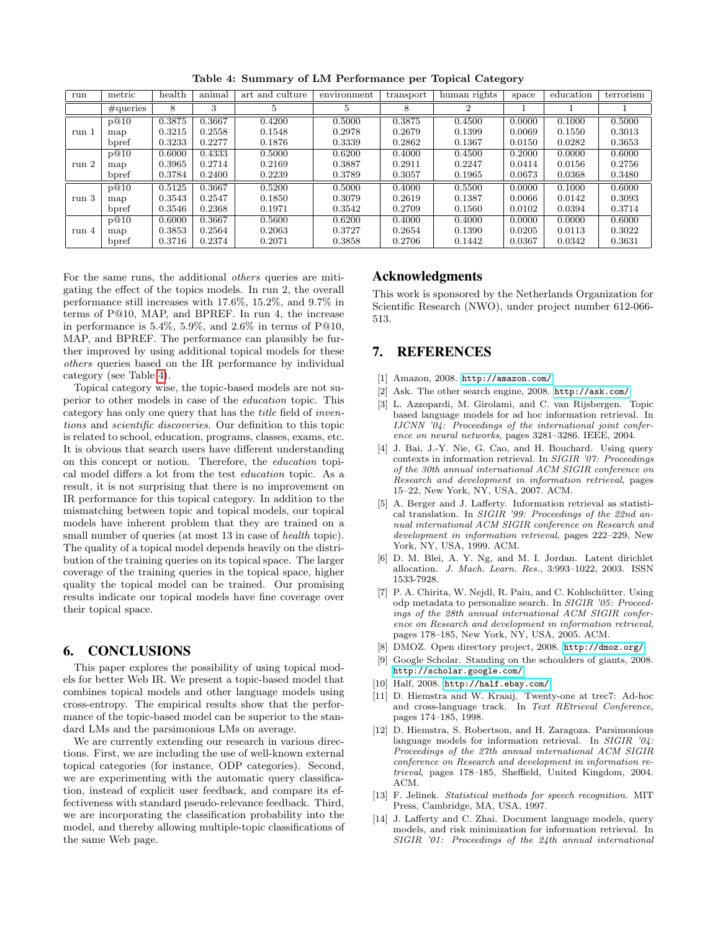| run              | metric       | health | animal   | art and culture | environment | transport | human rights | space  | education | terrorism |
|------------------|--------------|--------|----------|-----------------|-------------|-----------|--------------|--------|-----------|-----------|
|                  | $\#$ queries | 8      | $\Omega$ | Ð               | ð           | 8         | റ            |        |           |           |
| run 1            | p@10         | 0.3875 | 0.3667   | 0.4200          | 0.5000      | 0.3875    | 0.4500       | 0.0000 | 0.1000    | 0.5000    |
|                  | map          | 0.3215 | 0.2558   | 0.1548          | 0.2978      | 0.2679    | 0.1399       | 0.0069 | 0.1550    | 0.3013    |
|                  | bpref        | 0.3233 | 0.2277   | 0.1876          | 0.3339      | 0.2862    | 0.1367       | 0.0150 | 0.0282    | 0.3653    |
| run <sub>2</sub> | p@10         | 0.6000 | 0.4333   | 0.5000          | 0.6200      | 0.4000    | 0.4500       | 0.2000 | 0.0000    | 0.6000    |
|                  | map          | 0.3965 | 0.2714   | 0.2169          | 0.3887      | 0.2911    | 0.2247       | 0.0414 | 0.0156    | 0.2756    |
|                  | bpref        | 0.3784 | 0.2400   | 0.2239          | 0.3789      | 0.3057    | 0.1965       | 0.0673 | 0.0368    | 0.3480    |
| run 3            | p@10         | 0.5125 | 0.3667   | 0.5200          | 0.5000      | 0.4000    | 0.5500       | 0.0000 | 0.1000    | 0.6000    |
|                  | map          | 0.3543 | 0.2547   | 0.1850          | 0.3079      | 0.2619    | 0.1387       | 0.0066 | 0.0142    | 0.3093    |
|                  | bpref        | 0.3546 | 0.2368   | 0.1971          | 0.3542      | 0.2709    | 0.1560       | 0.0102 | 0.0394    | 0.3714    |
| run 4            | p@10         | 0.6000 | 0.3667   | 0.5600          | 0.6200      | 0.4000    | 0.4000       | 0.0000 | 0.0000    | 0.6000    |
|                  | map          | 0.3853 | 0.2564   | 0.2063          | 0.3727      | 0.2654    | 0.1390       | 0.0205 | 0.0113    | 0.3022    |
|                  | bpref        | 0.3716 | 0.2374   | 0.2071          | 0.3858      | 0.2706    | 0.1442       | 0.0367 | 0.0342    | 0.3631    |

<span id="page-5-15"></span>Table 4: Summary of LM Performance per Topical Category

For the same runs, the additional others queries are mitigating the effect of the topics models. In run 2, the overall performance still increases with 17.6%, 15.2%, and 9.7% in terms of P@10, MAP, and BPREF. In run 4, the increase in performance is  $5.4\%$ ,  $5.9\%$ , and  $2.6\%$  in terms of P@10, MAP, and BPREF. The performance can plausibly be further improved by using additional topical models for these others queries based on the IR performance by individual category (see Table [4\)](#page-5-15).

Topical category wise, the topic-based models are not superior to other models in case of the education topic. This category has only one query that has the title field of inventions and scientific discoveries. Our definition to this topic is related to school, education, programs, classes, exams, etc. It is obvious that search users have different understanding on this concept or notion. Therefore, the education topical model differs a lot from the test education topic. As a result, it is not surprising that there is no improvement on IR performance for this topical category. In addition to the mismatching between topic and topical models, our topical models have inherent problem that they are trained on a small number of queries (at most 13 in case of *health* topic). The quality of a topical model depends heavily on the distribution of the training queries on its topical space. The larger coverage of the training queries in the topical space, higher quality the topical model can be trained. Our promising results indicate our topical models have fine coverage over their topical space.

### <span id="page-5-7"></span>6. CONCLUSIONS

This paper explores the possibility of using topical models for better Web IR. We present a topic-based model that combines topical models and other language models using cross-entropy. The empirical results show that the performance of the topic-based model can be superior to the standard LMs and the parsimonious LMs on average.

We are currently extending our research in various directions. First, we are including the use of well-known external topical categories (for instance, ODP categories). Second, we are experimenting with the automatic query classification, instead of explicit user feedback, and compare its effectiveness with standard pseudo-relevance feedback. Third, we are incorporating the classification probability into the model, and thereby allowing multiple-topic classifications of the same Web page.

#### Acknowledgments

This work is sponsored by the Netherlands Organization for Scientific Research (NWO), under project number 612-066- 513.

# 7. REFERENCES

- <span id="page-5-3"></span>[1] Amazon, 2008. <http://amazon.com/>.
- <span id="page-5-1"></span>[2] Ask. The other search engine, 2008. <http://ask.com/>.
- <span id="page-5-8"></span>[3] L. Azzopardi, M. Girolami, and C. van Rijsbergen. Topic based language models for ad hoc information retrieval. In IJCNN '04: Proceedings of the international joint conference on neural networks, pages 3281–3286. IEEE, 2004.
- <span id="page-5-6"></span>[4] J. Bai, J.-Y. Nie, G. Cao, and H. Bouchard. Using query contexts in information retrieval. In SIGIR '07: Proceedings of the 30th annual international ACM SIGIR conference on Research and development in information retrieval, pages 15–22, New York, NY, USA, 2007. ACM.
- <span id="page-5-9"></span>[5] A. Berger and J. Lafferty. Information retrieval as statistical translation. In SIGIR '99: Proceedings of the 22nd annual international ACM SIGIR conference on Research and development in information retrieval, pages 222–229, New York, NY, USA, 1999. ACM.
- <span id="page-5-5"></span>[6] D. M. Blei, A. Y. Ng, and M. I. Jordan. Latent dirichlet allocation. J. Mach. Learn. Res., 3:993–1022, 2003. ISSN 1533-7928.
- <span id="page-5-14"></span>[7] P. A. Chirita, W. Nejdl, R. Paiu, and C. Kohlschütter. Using odp metadata to personalize search. In SIGIR '05: Proceedings of the 28th annual international ACM SIGIR conference on Research and development in information retrieval, pages 178–185, New York, NY, USA, 2005. ACM.
- <span id="page-5-2"></span>[8] DMOZ. Open directory project, 2008. <http://dmoz.org/>.
- <span id="page-5-0"></span>[9] Google Scholar. Standing on the schoulders of giants, 2008. <http://scholar.google.com/>.
- <span id="page-5-4"></span>[10] Half, 2008. <http://half.ebay.com/>.
- <span id="page-5-10"></span>[11] D. Hiemstra and W. Kraaij. Twenty-one at trec7: Ad-hoc and cross-language track. In Text REtrieval Conference, pages 174–185, 1998.
- <span id="page-5-12"></span>[12] D. Hiemstra, S. Robertson, and H. Zaragoza. Parsimonious language models for information retrieval. In SIGIR '04: Proceedings of the 27th annual international ACM SIGIR conference on Research and development in information retrieval, pages 178–185, Sheffield, United Kingdom, 2004. ACM.
- <span id="page-5-11"></span>[13] F. Jelinek. Statistical methods for speech recognition. MIT Press, Cambridge, MA, USA, 1997.
- <span id="page-5-13"></span>[14] J. Lafferty and C. Zhai. Document language models, query models, and risk minimization for information retrieval. In SIGIR '01: Proceedings of the 24th annual international